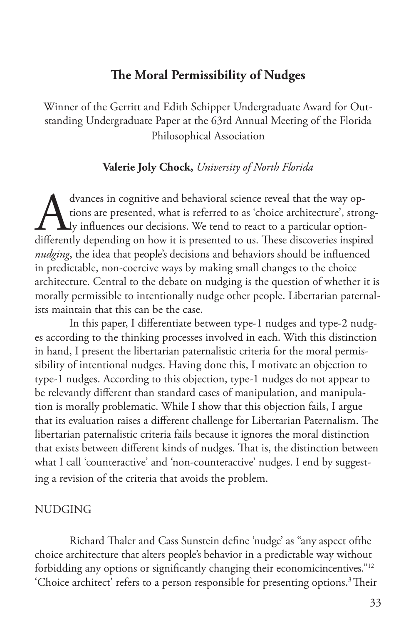# **The Moral Permissibility of Nudges**

Winner of the Gerritt and Edith Schipper Undergraduate Award for Outstanding Undergraduate Paper at the 63rd Annual Meeting of the Florida Philosophical Association

# **Valerie Joly Chock,** *University of North Florida*

dvances in cognitive and behavioral science reveal that the way options are presented, what is referred to as 'choice architecture', strong ly influences our decisions. We tend to react to a particular option-<br>differently tions are presented, what is referred to as 'choice architecture', strongly influences our decisions. We tend to react to a particular optiondifferently depending on how it is presented to us. These discoveries inspired *nudging*, the idea that people's decisions and behaviors should be influenced in predictable, non-coercive ways by making small changes to the choice architecture. Central to the debate on nudging is the question of whether it is morally permissible to intentionally nudge other people. Libertarian paternalists maintain that this can be the case.

In this paper, I differentiate between type-1 nudges and type-2 nudges according to the thinking processes involved in each. With this distinction in hand, I present the libertarian paternalistic criteria for the moral permissibility of intentional nudges. Having done this, I motivate an objection to type-1 nudges. According to this objection, type-1 nudges do not appear to be relevantly different than standard cases of manipulation, and manipulation is morally problematic. While I show that this objection fails, I argue that its evaluation raises a different challenge for Libertarian Paternalism. The libertarian paternalistic criteria fails because it ignores the moral distinction that exists between different kinds of nudges. That is, the distinction between what I call 'counteractive' and 'non-counteractive' nudges. I end by suggesting a revision of the criteria that avoids the problem.

#### NUDGING

Richard Thaler and Cass Sunstein define 'nudge' as "any aspect ofthe choice architecture that alters people's behavior in a predictable way without forbidding any options or significantly changing their economicincentives."12 'Choice architect' refers to a person responsible for presenting options.<sup>3</sup>Their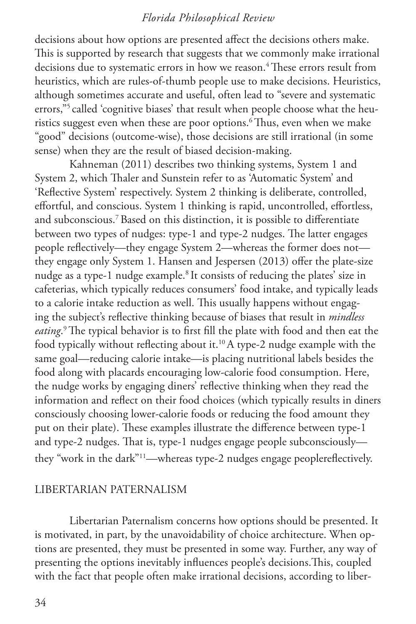decisions about how options are presented affect the decisions others make. This is supported by research that suggests that we commonly make irrational decisions due to systematic errors in how we reason.<sup>4</sup> These errors result from heuristics, which are rules-of-thumb people use to make decisions. Heuristics, although sometimes accurate and useful, often lead to "severe and systematic errors,"<sup>5</sup> called 'cognitive biases' that result when people choose what the heuristics suggest even when these are poor options.<sup>6</sup> Thus, even when we make "good" decisions (outcome-wise), those decisions are still irrational (in some sense) when they are the result of biased decision-making.

Kahneman (2011) describes two thinking systems, System 1 and System 2, which Thaler and Sunstein refer to as 'Automatic System' and 'Reflective System' respectively. System 2 thinking is deliberate, controlled, effortful, and conscious. System 1 thinking is rapid, uncontrolled, effortless, and subconscious.7 Based on this distinction, it is possible to differentiate between two types of nudges: type-1 and type-2 nudges. The latter engages people reflectively—they engage System 2—whereas the former does not they engage only System 1. Hansen and Jespersen (2013) offer the plate-size nudge as a type-1 nudge example.<sup>8</sup> It consists of reducing the plates' size in cafeterias, which typically reduces consumers' food intake, and typically leads to a calorie intake reduction as well. This usually happens without engaging the subject's reflective thinking because of biases that result in *mindless eating*. 9 The typical behavior is to first fill the plate with food and then eat the food typically without reflecting about it.<sup>10</sup> A type-2 nudge example with the same goal—reducing calorie intake—is placing nutritional labels besides the food along with placards encouraging low-calorie food consumption. Here, the nudge works by engaging diners' reflective thinking when they read the information and reflect on their food choices (which typically results in diners consciously choosing lower-calorie foods or reducing the food amount they put on their plate). These examples illustrate the difference between type-1 and type-2 nudges. That is, type-1 nudges engage people subconsciously they "work in the dark"11—whereas type-2 nudges engage peoplereflectively.

#### LIBERTARIAN PATERNALISM

Libertarian Paternalism concerns how options should be presented. It is motivated, in part, by the unavoidability of choice architecture. When options are presented, they must be presented in some way. Further, any way of presenting the options inevitably influences people's decisions.This, coupled with the fact that people often make irrational decisions, according to liber-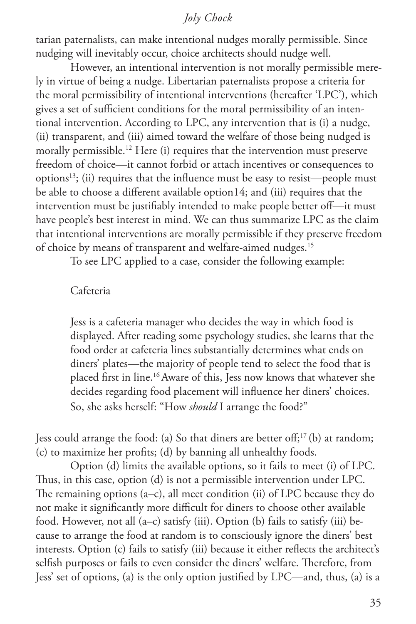tarian paternalists, can make intentional nudges morally permissible. Since nudging will inevitably occur, choice architects should nudge well.

However, an intentional intervention is not morally permissible merely in virtue of being a nudge. Libertarian paternalists propose a criteria for the moral permissibility of intentional interventions (hereafter 'LPC'), which gives a set of sufficient conditions for the moral permissibility of an intentional intervention. According to LPC, any intervention that is (i) a nudge, (ii) transparent, and (iii) aimed toward the welfare of those being nudged is morally permissible.<sup>12</sup> Here (i) requires that the intervention must preserve freedom of choice—it cannot forbid or attach incentives or consequences to options13; (ii) requires that the influence must be easy to resist—people must be able to choose a different available option14; and (iii) requires that the intervention must be justifiably intended to make people better off—it must have people's best interest in mind. We can thus summarize LPC as the claim that intentional interventions are morally permissible if they preserve freedom of choice by means of transparent and welfare-aimed nudges.<sup>15</sup>

To see LPC applied to a case, consider the following example:

#### Cafeteria

Jess is a cafeteria manager who decides the way in which food is displayed. After reading some psychology studies, she learns that the food order at cafeteria lines substantially determines what ends on diners' plates—the majority of people tend to select the food that is placed first in line.16 Aware of this, Jess now knows that whatever she decides regarding food placement will influence her diners' choices. So, she asks herself: "How *should* I arrange the food?"

Jess could arrange the food: (a) So that diners are better off;<sup>17</sup> (b) at random; (c) to maximize her profits; (d) by banning all unhealthy foods.

Option (d) limits the available options, so it fails to meet (i) of LPC. Thus, in this case, option (d) is not a permissible intervention under LPC. The remaining options (a–c), all meet condition (ii) of LPC because they do not make it significantly more difficult for diners to choose other available food. However, not all (a–c) satisfy (iii). Option (b) fails to satisfy (iii) because to arrange the food at random is to consciously ignore the diners' best interests. Option (c) fails to satisfy (iii) because it either reflects the architect's selfish purposes or fails to even consider the diners' welfare. Therefore, from Jess' set of options, (a) is the only option justified by LPC—and, thus, (a) is a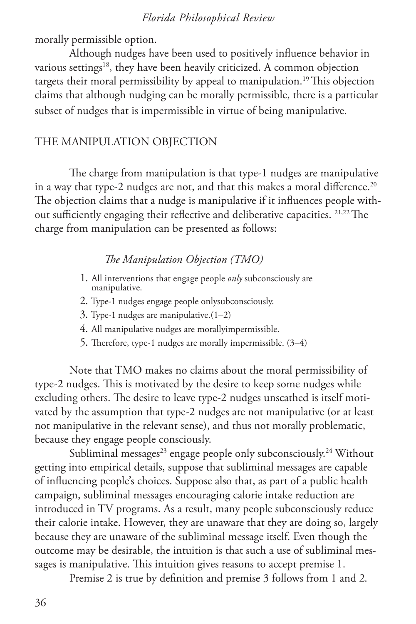morally permissible option.

Although nudges have been used to positively influence behavior in various settings<sup>18</sup>, they have been heavily criticized. A common objection targets their moral permissibility by appeal to manipulation.<sup>19</sup> This objection claims that although nudging can be morally permissible, there is a particular subset of nudges that is impermissible in virtue of being manipulative.

## THE MANIPULATION OBJECTION

The charge from manipulation is that type-1 nudges are manipulative in a way that type-2 nudges are not, and that this makes a moral difference.<sup>20</sup> The objection claims that a nudge is manipulative if it influences people without sufficiently engaging their reflective and deliberative capacities. 21,22 The charge from manipulation can be presented as follows:

#### *The Manipulation Objection (TMO)*

- 1. All interventions that engage people *only* subconsciously are manipulative.
- 2. Type-1 nudges engage people onlysubconsciously.
- 3. Type-1 nudges are manipulative.(1–2)
- 4. All manipulative nudges are morallyimpermissible.
- 5. Therefore, type-1 nudges are morally impermissible. (3–4)

Note that TMO makes no claims about the moral permissibility of type-2 nudges. This is motivated by the desire to keep some nudges while excluding others. The desire to leave type-2 nudges unscathed is itself motivated by the assumption that type-2 nudges are not manipulative (or at least not manipulative in the relevant sense), and thus not morally problematic, because they engage people consciously.

Subliminal messages<sup>23</sup> engage people only subconsciously.<sup>24</sup> Without getting into empirical details, suppose that subliminal messages are capable of influencing people's choices. Suppose also that, as part of a public health campaign, subliminal messages encouraging calorie intake reduction are introduced in TV programs. As a result, many people subconsciously reduce their calorie intake. However, they are unaware that they are doing so, largely because they are unaware of the subliminal message itself. Even though the outcome may be desirable, the intuition is that such a use of subliminal messages is manipulative. This intuition gives reasons to accept premise 1.

Premise 2 is true by definition and premise 3 follows from 1 and 2.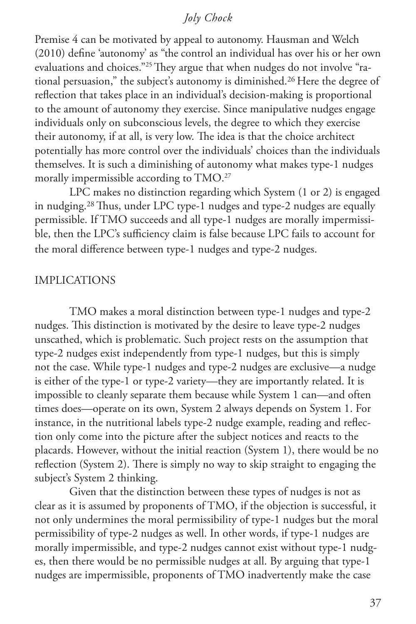Premise 4 can be motivated by appeal to autonomy. Hausman and Welch (2010) define 'autonomy' as "the control an individual has over his or her own evaluations and choices."25 They argue that when nudges do not involve "rational persuasion," the subject's autonomy is diminished.26 Here the degree of reflection that takes place in an individual's decision-making is proportional to the amount of autonomy they exercise. Since manipulative nudges engage individuals only on subconscious levels, the degree to which they exercise their autonomy, if at all, is very low. The idea is that the choice architect potentially has more control over the individuals' choices than the individuals themselves. It is such a diminishing of autonomy what makes type-1 nudges morally impermissible according to TMO.<sup>27</sup>

LPC makes no distinction regarding which System (1 or 2) is engaged in nudging.28 Thus, under LPC type-1 nudges and type-2 nudges are equally permissible. If TMO succeeds and all type-1 nudges are morally impermissible, then the LPC's sufficiency claim is false because LPC fails to account for the moral difference between type-1 nudges and type-2 nudges.

## IMPLICATIONS

TMO makes a moral distinction between type-1 nudges and type-2 nudges. This distinction is motivated by the desire to leave type-2 nudges unscathed, which is problematic. Such project rests on the assumption that type-2 nudges exist independently from type-1 nudges, but this is simply not the case. While type-1 nudges and type-2 nudges are exclusive—a nudge is either of the type-1 or type-2 variety—they are importantly related. It is impossible to cleanly separate them because while System 1 can—and often times does—operate on its own, System 2 always depends on System 1. For instance, in the nutritional labels type-2 nudge example, reading and reflection only come into the picture after the subject notices and reacts to the placards. However, without the initial reaction (System 1), there would be no reflection (System 2). There is simply no way to skip straight to engaging the subject's System 2 thinking.

Given that the distinction between these types of nudges is not as clear as it is assumed by proponents of TMO, if the objection is successful, it not only undermines the moral permissibility of type-1 nudges but the moral permissibility of type-2 nudges as well. In other words, if type-1 nudges are morally impermissible, and type-2 nudges cannot exist without type-1 nudges, then there would be no permissible nudges at all. By arguing that type-1 nudges are impermissible, proponents of TMO inadvertently make the case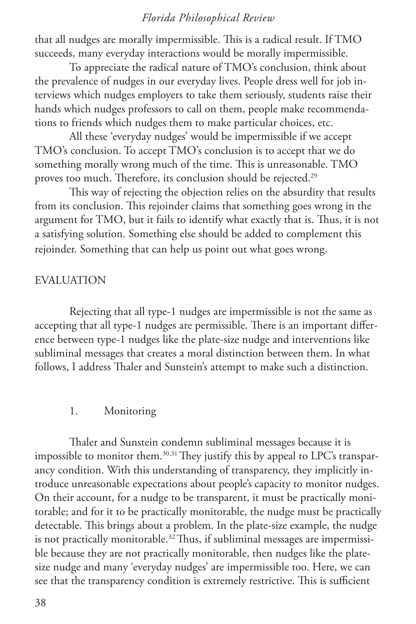that all nudges are morally impermissible. This is a radical result. If TMO succeeds, many everyday interactions would be morally impermissible.

To appreciate the radical nature of TMO's conclusion, think about the prevalence of nudges in our everyday lives. People dress well for job interviews which nudges employers to take them seriously, students raise their hands which nudges professors to call on them, people make recommendations to friends which nudges them to make particular choices, etc.

All these 'everyday nudges' would be impermissible if we accept TMO's conclusion. To accept TMO's conclusion is to accept that we do something morally wrong much of the time. This is unreasonable. TMO proves too much. Therefore, its conclusion should be rejected.<sup>29</sup>

This way of rejecting the objection relies on the absurdity that results from its conclusion. This rejoinder claims that something goes wrong in the argument for TMO, but it fails to identify what exactly that is. Thus, it is not a satisfying solution. Something else should be added to complement this rejoinder. Something that can help us point out what goes wrong.

#### EVALUATION

Rejecting that all type-1 nudges are impermissible is not the same as accepting that all type-1 nudges are permissible. There is an important difference between type-1 nudges like the plate-size nudge and interventions like subliminal messages that creates a moral distinction between them. In what follows, I address Thaler and Sunstein's attempt to make such a distinction.

#### 1. Monitoring

Thaler and Sunstein condemn subliminal messages because it is impossible to monitor them.<sup>30,31</sup> They justify this by appeal to LPC's transparancy condition. With this understanding of transparency, they implicitly introduce unreasonable expectations about people's capacity to monitor nudges. On their account, for a nudge to be transparent, it must be practically monitorable; and for it to be practically monitorable, the nudge must be practically detectable. This brings about a problem. In the plate-size example, the nudge is not practically monitorable.<sup>32</sup> Thus, if subliminal messages are impermissible because they are not practically monitorable, then nudges like the platesize nudge and many 'everyday nudges' are impermissible too. Here, we can see that the transparency condition is extremely restrictive. This is sufficient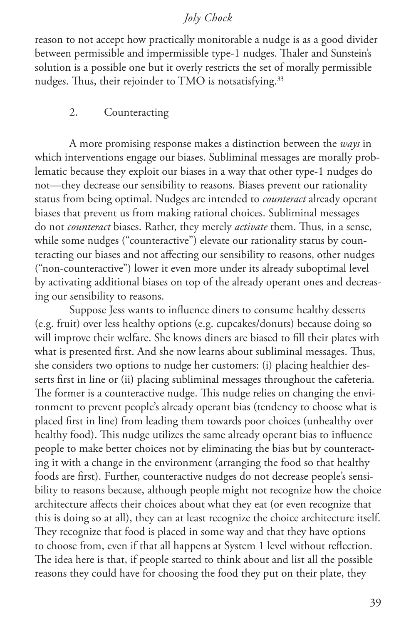reason to not accept how practically monitorable a nudge is as a good divider between permissible and impermissible type-1 nudges. Thaler and Sunstein's solution is a possible one but it overly restricts the set of morally permissible nudges. Thus, their rejoinder to TMO is notsatisfying.<sup>33</sup>

#### 2. Counteracting

A more promising response makes a distinction between the *ways* in which interventions engage our biases. Subliminal messages are morally problematic because they exploit our biases in a way that other type-1 nudges do not—they decrease our sensibility to reasons. Biases prevent our rationality status from being optimal. Nudges are intended to *counteract* already operant biases that prevent us from making rational choices. Subliminal messages do not *counteract* biases. Rather, they merely *activate* them. Thus, in a sense, while some nudges ("counteractive") elevate our rationality status by counteracting our biases and not affecting our sensibility to reasons, other nudges ("non-counteractive") lower it even more under its already suboptimal level by activating additional biases on top of the already operant ones and decreasing our sensibility to reasons.

Suppose Jess wants to influence diners to consume healthy desserts (e.g. fruit) over less healthy options (e.g. cupcakes/donuts) because doing so will improve their welfare. She knows diners are biased to fill their plates with what is presented first. And she now learns about subliminal messages. Thus, she considers two options to nudge her customers: (i) placing healthier desserts first in line or (ii) placing subliminal messages throughout the cafeteria. The former is a counteractive nudge. This nudge relies on changing the environment to prevent people's already operant bias (tendency to choose what is placed first in line) from leading them towards poor choices (unhealthy over healthy food). This nudge utilizes the same already operant bias to influence people to make better choices not by eliminating the bias but by counteracting it with a change in the environment (arranging the food so that healthy foods are first). Further, counteractive nudges do not decrease people's sensibility to reasons because, although people might not recognize how the choice architecture affects their choices about what they eat (or even recognize that this is doing so at all), they can at least recognize the choice architecture itself. They recognize that food is placed in some way and that they have options to choose from, even if that all happens at System 1 level without reflection. The idea here is that, if people started to think about and list all the possible reasons they could have for choosing the food they put on their plate, they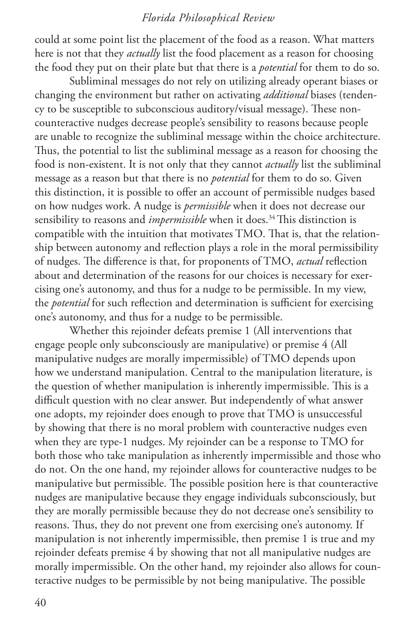could at some point list the placement of the food as a reason. What matters here is not that they *actually* list the food placement as a reason for choosing the food they put on their plate but that there is a *potential* for them to do so.

Subliminal messages do not rely on utilizing already operant biases or changing the environment but rather on activating *additional* biases (tendency to be susceptible to subconscious auditory/visual message). These noncounteractive nudges decrease people's sensibility to reasons because people are unable to recognize the subliminal message within the choice architecture. Thus, the potential to list the subliminal message as a reason for choosing the food is non-existent. It is not only that they cannot *actually* list the subliminal message as a reason but that there is no *potential* for them to do so. Given this distinction, it is possible to offer an account of permissible nudges based on how nudges work. A nudge is *permissible* when it does not decrease our sensibility to reasons and *impermissible* when it does.<sup>34</sup> This distinction is compatible with the intuition that motivates TMO. That is, that the relationship between autonomy and reflection plays a role in the moral permissibility of nudges. The difference is that, for proponents of TMO, *actual* reflection about and determination of the reasons for our choices is necessary for exercising one's autonomy, and thus for a nudge to be permissible. In my view, the *potential* for such reflection and determination is sufficient for exercising one's autonomy, and thus for a nudge to be permissible.

Whether this rejoinder defeats premise 1 (All interventions that engage people only subconsciously are manipulative) or premise 4 (All manipulative nudges are morally impermissible) of TMO depends upon how we understand manipulation. Central to the manipulation literature, is the question of whether manipulation is inherently impermissible. This is a difficult question with no clear answer. But independently of what answer one adopts, my rejoinder does enough to prove that TMO is unsuccessful by showing that there is no moral problem with counteractive nudges even when they are type-1 nudges. My rejoinder can be a response to TMO for both those who take manipulation as inherently impermissible and those who do not. On the one hand, my rejoinder allows for counteractive nudges to be manipulative but permissible. The possible position here is that counteractive nudges are manipulative because they engage individuals subconsciously, but they are morally permissible because they do not decrease one's sensibility to reasons. Thus, they do not prevent one from exercising one's autonomy. If manipulation is not inherently impermissible, then premise 1 is true and my rejoinder defeats premise 4 by showing that not all manipulative nudges are morally impermissible. On the other hand, my rejoinder also allows for counteractive nudges to be permissible by not being manipulative. The possible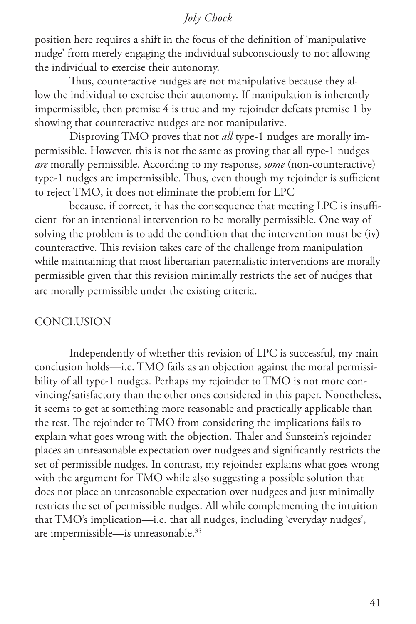position here requires a shift in the focus of the definition of 'manipulative nudge' from merely engaging the individual subconsciously to not allowing the individual to exercise their autonomy.

Thus, counteractive nudges are not manipulative because they allow the individual to exercise their autonomy. If manipulation is inherently impermissible, then premise 4 is true and my rejoinder defeats premise 1 by showing that counteractive nudges are not manipulative.

Disproving TMO proves that not *all* type-1 nudges are morally impermissible. However, this is not the same as proving that all type-1 nudges *are* morally permissible. According to my response, *some* (non-counteractive) type-1 nudges are impermissible. Thus, even though my rejoinder is sufficient to reject TMO, it does not eliminate the problem for LPC

because, if correct, it has the consequence that meeting LPC is insufficient for an intentional intervention to be morally permissible. One way of solving the problem is to add the condition that the intervention must be (iv) counteractive. This revision takes care of the challenge from manipulation while maintaining that most libertarian paternalistic interventions are morally permissible given that this revision minimally restricts the set of nudges that are morally permissible under the existing criteria.

### **CONCLUSION**

Independently of whether this revision of LPC is successful, my main conclusion holds—i.e. TMO fails as an objection against the moral permissibility of all type-1 nudges. Perhaps my rejoinder to TMO is not more convincing/satisfactory than the other ones considered in this paper. Nonetheless, it seems to get at something more reasonable and practically applicable than the rest. The rejoinder to TMO from considering the implications fails to explain what goes wrong with the objection. Thaler and Sunstein's rejoinder places an unreasonable expectation over nudgees and significantly restricts the set of permissible nudges. In contrast, my rejoinder explains what goes wrong with the argument for TMO while also suggesting a possible solution that does not place an unreasonable expectation over nudgees and just minimally restricts the set of permissible nudges. All while complementing the intuition that TMO's implication—i.e. that all nudges, including 'everyday nudges', are impermissible—is unreasonable.35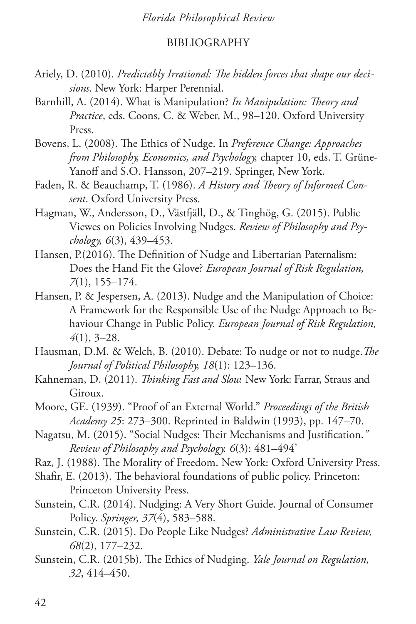## BIBLIOGRAPHY

- Ariely, D. (2010). *Predictably Irrational: The hidden forces that shape our decisions*. New York: Harper Perennial.
- Barnhill, A. (2014). What is Manipulation? *In Manipulation: Theory and Practice*, eds. Coons, C. & Weber, M., 98–120. Oxford University Press.
- Bovens, L. (2008). The Ethics of Nudge. In *Preference Change: Approaches from Philosophy, Economics, and Psychology,* chapter 10, eds. T. Grüne-Yanoff and S.O. Hansson, 207–219. Springer, New York.
- Faden, R. & Beauchamp, T. (1986). *A History and Theory of Informed Consent*. Oxford University Press.
- Hagman, W., Andersson, D., Västfjäll, D., & Tinghög, G. (2015). Public Viewes on Policies Involving Nudges. *Review of Philosophy and Psychology, 6*(3), 439–453.
- Hansen, P.(2016). The Definition of Nudge and Libertarian Paternalism: Does the Hand Fit the Glove? *European Journal of Risk Regulation, 7*(1), 155–174.
- Hansen, P. & Jespersen, A. (2013). Nudge and the Manipulation of Choice: A Framework for the Responsible Use of the Nudge Approach to Behaviour Change in Public Policy. *European Journal of Risk Regulation, 4*(1), 3–28.
- Hausman, D.M. & Welch, B. (2010). Debate: To nudge or not to nudge.*The Journal of Political Philosophy, 18*(1): 123–136.
- Kahneman, D. (2011). *Thinking Fast and Slow.* New York: Farrar, Straus and Giroux.
- Moore, GE. (1939). "Proof of an External World." *Proceedings of the British Academy 25*: 273–300. Reprinted in Baldwin (1993), pp. 147–70.
- Nagatsu, M. (2015). "Social Nudges: Their Mechanisms and Justification.*" Review of Philosophy and Psychology. 6*(3): 481–494'
- Raz, J. (1988). The Morality of Freedom. New York: Oxford University Press.
- Shafir, E. (2013). The behavioral foundations of public policy. Princeton: Princeton University Press.
- Sunstein, C.R. (2014). Nudging: A Very Short Guide. Journal of Consumer Policy. *Springer, 37*(4), 583–588.
- Sunstein, C.R. (2015). Do People Like Nudges? *Administrative Law Review, 68*(2), 177–232.
- Sunstein, C.R. (2015b). The Ethics of Nudging. *Yale Journal on Regulation, 32*, 414–450.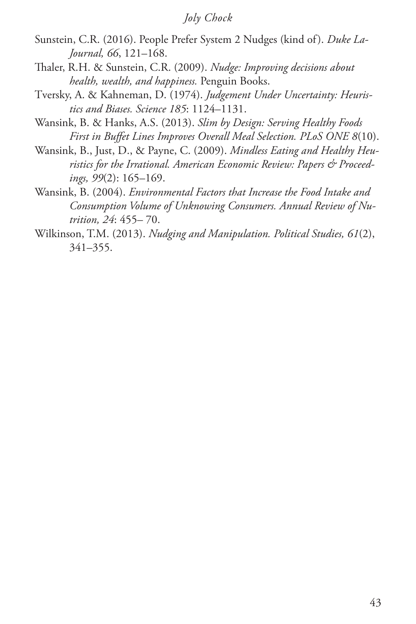- Sunstein, C.R. (2016). People Prefer System 2 Nudges (kind of). *Duke La-Journal, 66*, 121–168.
- Thaler, R.H. & Sunstein, C.R. (2009). *Nudge: Improving decisions about health, wealth, and happiness.* Penguin Books.
- Tversky, A. & Kahneman, D. (1974). *Judgement Under Uncertainty: Heuristics and Biases. Science 185*: 1124–1131.
- Wansink, B. & Hanks, A.S. (2013). *Slim by Design: Serving Healthy Foods First in Buffet Lines Improves Overall Meal Selection. PLoS ONE 8*(10).
- Wansink, B., Just, D., & Payne, C. (2009). *Mindless Eating and Healthy Heuristics for the Irrational. American Economic Review: Papers & Proceedings, 99*(2): 165–169.
- Wansink, B. (2004). *Environmental Factors that Increase the Food Intake and Consumption Volume of Unknowing Consumers. Annual Review of Nutrition, 24*: 455– 70.
- Wilkinson, T.M. (2013). *Nudging and Manipulation. Political Studies, 61*(2), 341–355.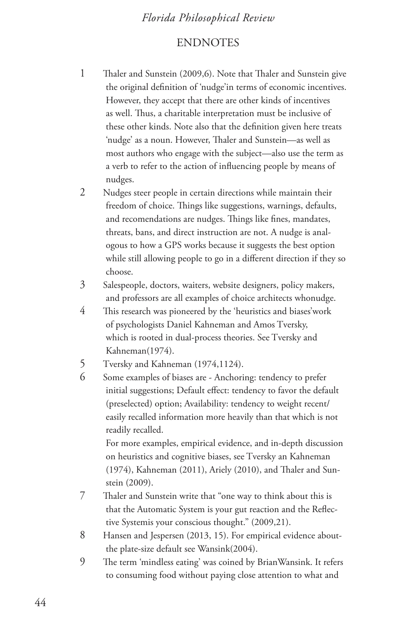## **ENDNOTES**

1 Thaler and Sunstein (2009,6). Note that Thaler and Sunstein give the original definition of 'nudge'in terms of economic incentives. However, they accept that there are other kinds of incentives as well. Thus, a charitable interpretation must be inclusive of these other kinds. Note also that the definition given here treats 'nudge' as a noun. However, Thaler and Sunstein—as well as most authors who engage with the subject—also use the term as a verb to refer to the action of influencing people by means of nudges.

2 Nudges steer people in certain directions while maintain their freedom of choice. Things like suggestions, warnings, defaults, and recomendations are nudges. Things like fines, mandates, threats, bans, and direct instruction are not. A nudge is analogous to how a GPS works because it suggests the best option while still allowing people to go in a different direction if they so choose.

- 3 Salespeople, doctors, waiters, website designers, policy makers, and professors are all examples of choice architects whonudge.
- 4 This research was pioneered by the 'heuristics and biases'work of psychologists Daniel Kahneman and Amos Tversky, which is rooted in dual-process theories. See Tversky and Kahneman(1974).
- 5 Tversky and Kahneman (1974,1124).
- 6 Some examples of biases are Anchoring: tendency to prefer initial suggestions; Default effect: tendency to favor the default (preselected) option; Availability: tendency to weight recent/ easily recalled information more heavily than that which is not readily recalled.

For more examples, empirical evidence, and in-depth discussion on heuristics and cognitive biases, see Tversky an Kahneman (1974), Kahneman (2011), Ariely (2010), and Thaler and Sunstein (2009).

- 7 Thaler and Sunstein write that "one way to think about this is that the Automatic System is your gut reaction and the Reflective Systemis your conscious thought." (2009,21).
- 8 Hansen and Jespersen (2013, 15). For empirical evidence aboutthe plate-size default see Wansink(2004).
- 9 The term 'mindless eating' was coined by BrianWansink. It refers to consuming food without paying close attention to what and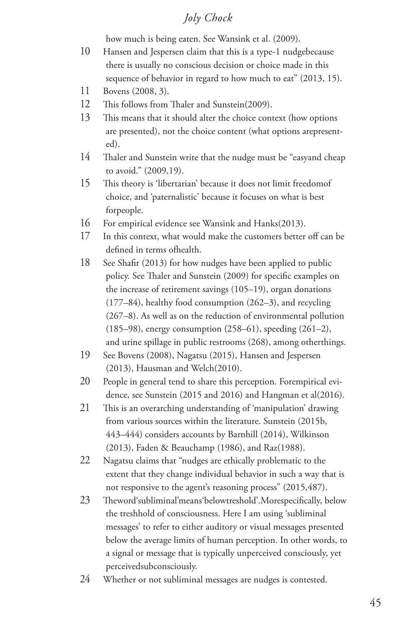how much is being eaten. See Wansink et al. (2009).

- 10 Hansen and Jespersen claim that this is a type-1 nudgebecause there is usually no conscious decision or choice made in this sequence of behavior in regard to how much to eat" (2013, 15).
- 11 Bovens (2008, 3).
- 12 This follows from Thaler and Sunstein(2009).
- 13 This means that it should alter the choice context (how options are presented), not the choice content (what options arepresented).
- 14 Thaler and Sunstein write that the nudge must be "easyand cheap to avoid." (2009,19).
- 15 This theory is 'libertarian' because it does not limit freedomof choice, and 'paternalistic' because it focuses on what is best forpeople.
- 16 For empirical evidence see Wansink and Hanks(2013).
- 17 In this context, what would make the customers better off can be defined in terms ofhealth.
- 18 See Shafir (2013) for how nudges have been applied to public policy. See Thaler and Sunstein (2009) for specific examples on the increase of retirement savings (105–19), organ donations (177–84), healthy food consumption (262–3), and recycling (267–8). As well as on the reduction of environmental pollution (185–98), energy consumption (258–61), speeding (261–2), and urine spillage in public restrooms (268), among otherthings.
- 19 See Bovens (2008), Nagatsu (2015), Hansen and Jespersen (2013), Hausman and Welch(2010).
- 20 People in general tend to share this perception. Forempirical evidence, see Sunstein (2015 and 2016) and Hangman et al(2016).
- 21 This is an overarching understanding of 'manipulation' drawing from various sources within the literature. Sunstein (2015b, 443–444) considers accounts by Barnhill (2014), Wilkinson (2013), Faden & Beauchamp (1986), and Raz(1988).
- 22 Nagatsu claims that "nudges are ethically problematic to the extent that they change individual behavior in such a way that is not responsive to the agent's reasoning process" (2015,487).
- 23 Theword'subliminal'means'belowtreshold'.Morespecifically, below the treshhold of consciousness. Here I am using 'subliminal messages' to refer to either auditory or visual messages presented below the average limits of human perception. In other words, to a signal or message that is typically unperceived consciously, yet perceivedsubconsciously.
- 24 Whether or not subliminal messages are nudges is contested.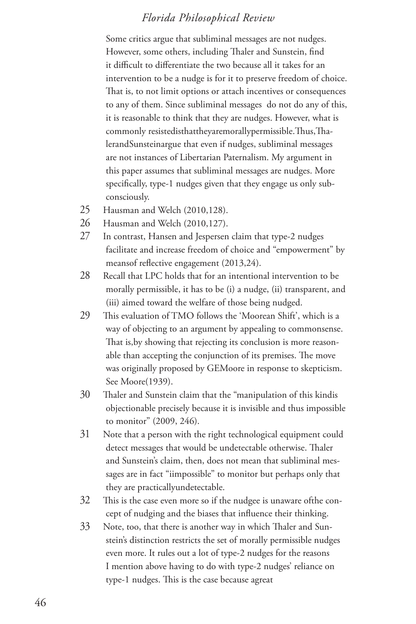Some critics argue that subliminal messages are not nudges. However, some others, including Thaler and Sunstein, find it difficult to differentiate the two because all it takes for an intervention to be a nudge is for it to preserve freedom of choice. That is, to not limit options or attach incentives or consequences to any of them. Since subliminal messages do not do any of this, it is reasonable to think that they are nudges. However, what is commonly resistedisthattheyaremorallypermissible.Thus,ThalerandSunsteinargue that even if nudges, subliminal messages are not instances of Libertarian Paternalism. My argument in this paper assumes that subliminal messages are nudges. More specifically, type-1 nudges given that they engage us only subconsciously.

- 25 Hausman and Welch (2010,128).
- 26 Hausman and Welch (2010,127).
- 27 In contrast, Hansen and Jespersen claim that type-2 nudges facilitate and increase freedom of choice and "empowerment" by meansof reflective engagement (2013,24).
- 28 Recall that LPC holds that for an intentional intervention to be morally permissible, it has to be (i) a nudge, (ii) transparent, and (iii) aimed toward the welfare of those being nudged.
- 29 This evaluation of TMO follows the 'Moorean Shift', which is a way of objecting to an argument by appealing to commonsense. That is,by showing that rejecting its conclusion is more reasonable than accepting the conjunction of its premises. The move was originally proposed by GEMoore in response to skepticism. See Moore(1939).
- 30 Thaler and Sunstein claim that the "manipulation of this kindis objectionable precisely because it is invisible and thus impossible to monitor" (2009, 246).
- 31 Note that a person with the right technological equipment could detect messages that would be undetectable otherwise. Thaler and Sunstein's claim, then, does not mean that subliminal messages are in fact "iimpossible" to monitor but perhaps only that they are practicallyundetectable.
- 32 This is the case even more so if the nudgee is unaware ofthe concept of nudging and the biases that influence their thinking.
- 33 Note, too, that there is another way in which Thaler and Sunstein's distinction restricts the set of morally permissible nudges even more. It rules out a lot of type-2 nudges for the reasons I mention above having to do with type-2 nudges' reliance on type-1 nudges. This is the case because agreat